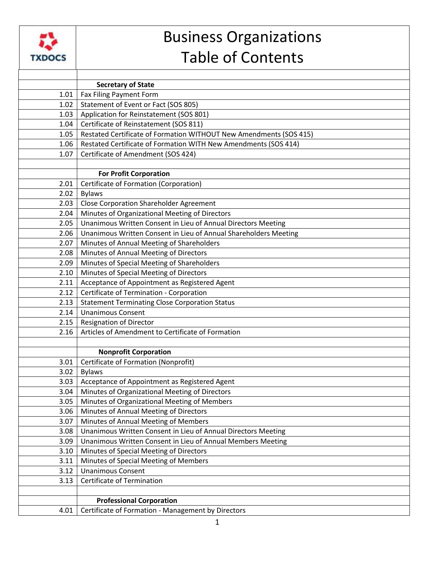

## Business Organizations Table of Contents

|      | <b>Secretary of State</b>                                          |
|------|--------------------------------------------------------------------|
| 1.01 | Fax Filing Payment Form                                            |
| 1.02 | Statement of Event or Fact (SOS 805)                               |
| 1.03 | Application for Reinstatement (SOS 801)                            |
| 1.04 | Certificate of Reinstatement (SOS 811)                             |
| 1.05 | Restated Certificate of Formation WITHOUT New Amendments (SOS 415) |
| 1.06 | Restated Certificate of Formation WITH New Amendments (SOS 414)    |
| 1.07 | Certificate of Amendment (SOS 424)                                 |
|      |                                                                    |
|      | <b>For Profit Corporation</b>                                      |
| 2.01 | Certificate of Formation (Corporation)                             |
| 2.02 | <b>Bylaws</b>                                                      |
| 2.03 | <b>Close Corporation Shareholder Agreement</b>                     |
| 2.04 | Minutes of Organizational Meeting of Directors                     |
| 2.05 | Unanimous Written Consent in Lieu of Annual Directors Meeting      |
| 2.06 | Unanimous Written Consent in Lieu of Annual Shareholders Meeting   |
| 2.07 | Minutes of Annual Meeting of Shareholders                          |
| 2.08 | Minutes of Annual Meeting of Directors                             |
| 2.09 | Minutes of Special Meeting of Shareholders                         |
| 2.10 | Minutes of Special Meeting of Directors                            |
| 2.11 | Acceptance of Appointment as Registered Agent                      |
| 2.12 | Certificate of Termination - Corporation                           |
| 2.13 | <b>Statement Terminating Close Corporation Status</b>              |
| 2.14 | <b>Unanimous Consent</b>                                           |
| 2.15 | <b>Resignation of Director</b>                                     |
| 2.16 | Articles of Amendment to Certificate of Formation                  |
|      |                                                                    |
|      | <b>Nonprofit Corporation</b>                                       |
| 3.01 | Certificate of Formation (Nonprofit)                               |
| 3.02 | <b>Bylaws</b>                                                      |
| 3.03 | Acceptance of Appointment as Registered Agent                      |
| 3.04 | Minutes of Organizational Meeting of Directors                     |
| 3.05 | Minutes of Organizational Meeting of Members                       |
| 3.06 | Minutes of Annual Meeting of Directors                             |
| 3.07 | Minutes of Annual Meeting of Members                               |
| 3.08 | Unanimous Written Consent in Lieu of Annual Directors Meeting      |
| 3.09 | Unanimous Written Consent in Lieu of Annual Members Meeting        |
| 3.10 | Minutes of Special Meeting of Directors                            |
| 3.11 | Minutes of Special Meeting of Members                              |
| 3.12 | <b>Unanimous Consent</b>                                           |
| 3.13 | <b>Certificate of Termination</b>                                  |
|      |                                                                    |
|      | <b>Professional Corporation</b>                                    |
| 4.01 | Certificate of Formation - Management by Directors                 |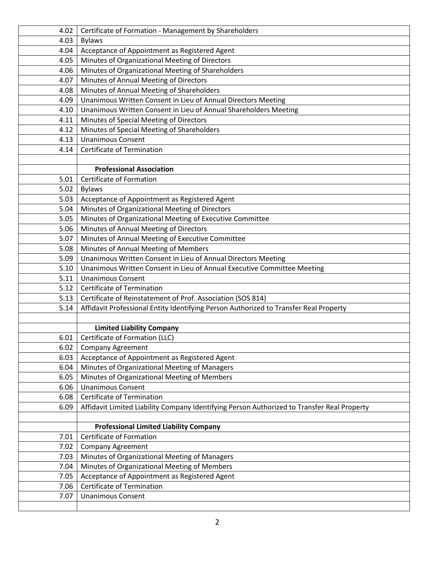| 4.02 | Certificate of Formation - Management by Shareholders                                       |
|------|---------------------------------------------------------------------------------------------|
| 4.03 | <b>Bylaws</b>                                                                               |
| 4.04 | Acceptance of Appointment as Registered Agent                                               |
| 4.05 | Minutes of Organizational Meeting of Directors                                              |
| 4.06 | Minutes of Organizational Meeting of Shareholders                                           |
| 4.07 | Minutes of Annual Meeting of Directors                                                      |
| 4.08 | Minutes of Annual Meeting of Shareholders                                                   |
| 4.09 | Unanimous Written Consent in Lieu of Annual Directors Meeting                               |
| 4.10 | Unanimous Written Consent in Lieu of Annual Shareholders Meeting                            |
| 4.11 | Minutes of Special Meeting of Directors                                                     |
| 4.12 | Minutes of Special Meeting of Shareholders                                                  |
| 4.13 | <b>Unanimous Consent</b>                                                                    |
| 4.14 | <b>Certificate of Termination</b>                                                           |
|      |                                                                                             |
|      | <b>Professional Association</b>                                                             |
| 5.01 | Certificate of Formation                                                                    |
| 5.02 | <b>Bylaws</b>                                                                               |
| 5.03 | Acceptance of Appointment as Registered Agent                                               |
| 5.04 | Minutes of Organizational Meeting of Directors                                              |
| 5.05 | Minutes of Organizational Meeting of Executive Committee                                    |
| 5.06 | Minutes of Annual Meeting of Directors                                                      |
| 5.07 | Minutes of Annual Meeting of Executive Committee                                            |
| 5.08 | Minutes of Annual Meeting of Members                                                        |
| 5.09 | Unanimous Written Consent in Lieu of Annual Directors Meeting                               |
| 5.10 | Unanimous Written Consent in Lieu of Annual Executive Committee Meeting                     |
| 5.11 | <b>Unanimous Consent</b>                                                                    |
| 5.12 | <b>Certificate of Termination</b>                                                           |
| 5.13 | Certificate of Reinstatement of Prof. Association (SOS 814)                                 |
| 5.14 | Affidavit Professional Entity Identifying Person Authorized to Transfer Real Property       |
|      |                                                                                             |
|      | <b>Limited Liability Company</b>                                                            |
| 6.01 | Certificate of Formation (LLC)                                                              |
| 6.02 | <b>Company Agreement</b>                                                                    |
| 6.03 | Acceptance of Appointment as Registered Agent                                               |
| 6.04 | Minutes of Organizational Meeting of Managers                                               |
| 6.05 | Minutes of Organizational Meeting of Members                                                |
| 6.06 | <b>Unanimous Consent</b>                                                                    |
| 6.08 | Certificate of Termination                                                                  |
| 6.09 | Affidavit Limited Liability Company Identifying Person Authorized to Transfer Real Property |
|      |                                                                                             |
|      | <b>Professional Limited Liability Company</b>                                               |
| 7.01 | Certificate of Formation                                                                    |
| 7.02 | <b>Company Agreement</b>                                                                    |
| 7.03 | Minutes of Organizational Meeting of Managers                                               |
| 7.04 | Minutes of Organizational Meeting of Members                                                |
| 7.05 | Acceptance of Appointment as Registered Agent                                               |
| 7.06 | Certificate of Termination                                                                  |
| 7.07 | <b>Unanimous Consent</b>                                                                    |
|      |                                                                                             |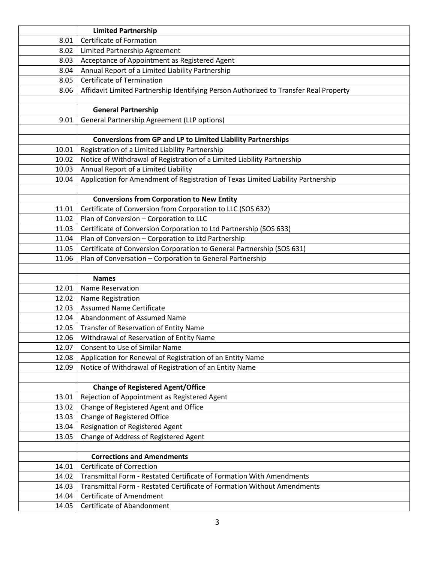|                | <b>Limited Partnership</b>                                                            |
|----------------|---------------------------------------------------------------------------------------|
| 8.01           | Certificate of Formation                                                              |
| 8.02           | Limited Partnership Agreement                                                         |
| 8.03           | Acceptance of Appointment as Registered Agent                                         |
| 8.04           | Annual Report of a Limited Liability Partnership                                      |
| 8.05           | Certificate of Termination                                                            |
| 8.06           | Affidavit Limited Partnership Identifying Person Authorized to Transfer Real Property |
|                |                                                                                       |
|                | <b>General Partnership</b>                                                            |
| 9.01           | General Partnership Agreement (LLP options)                                           |
|                |                                                                                       |
|                | Conversions from GP and LP to Limited Liability Partnerships                          |
| 10.01          | Registration of a Limited Liability Partnership                                       |
| 10.02          | Notice of Withdrawal of Registration of a Limited Liability Partnership               |
| 10.03          | Annual Report of a Limited Liability                                                  |
| 10.04          | Application for Amendment of Registration of Texas Limited Liability Partnership      |
|                |                                                                                       |
|                | <b>Conversions from Corporation to New Entity</b>                                     |
| 11.01          | Certificate of Conversion from Corporation to LLC (SOS 632)                           |
| 11.02          | Plan of Conversion - Corporation to LLC                                               |
| 11.03          | Certificate of Conversion Corporation to Ltd Partnership (SOS 633)                    |
| 11.04          | Plan of Conversion - Corporation to Ltd Partnership                                   |
| 11.05          | Certificate of Conversion Corporation to General Partnership (SOS 631)                |
| 11.06          | Plan of Conversation - Corporation to General Partnership                             |
|                |                                                                                       |
|                | <b>Names</b>                                                                          |
| 12.01          | Name Reservation                                                                      |
| 12.02          | Name Registration<br><b>Assumed Name Certificate</b>                                  |
| 12.03          | Abandonment of Assumed Name                                                           |
| 12.04<br>12.05 |                                                                                       |
| 12.06          | Transfer of Reservation of Entity Name                                                |
|                |                                                                                       |
|                | Withdrawal of Reservation of Entity Name                                              |
| 12.07          | Consent to Use of Similar Name                                                        |
| 12.08          | Application for Renewal of Registration of an Entity Name                             |
| 12.09          | Notice of Withdrawal of Registration of an Entity Name                                |
|                |                                                                                       |
|                | <b>Change of Registered Agent/Office</b>                                              |
| 13.01          | Rejection of Appointment as Registered Agent                                          |
| 13.02          | Change of Registered Agent and Office                                                 |
| 13.03          | Change of Registered Office                                                           |
| 13.04          | Resignation of Registered Agent                                                       |
| 13.05          | Change of Address of Registered Agent                                                 |
|                | <b>Corrections and Amendments</b>                                                     |
| 14.01          | <b>Certificate of Correction</b>                                                      |
| 14.02          | Transmittal Form - Restated Certificate of Formation With Amendments                  |
| 14.03          | Transmittal Form - Restated Certificate of Formation Without Amendments               |
| 14.04          | <b>Certificate of Amendment</b>                                                       |